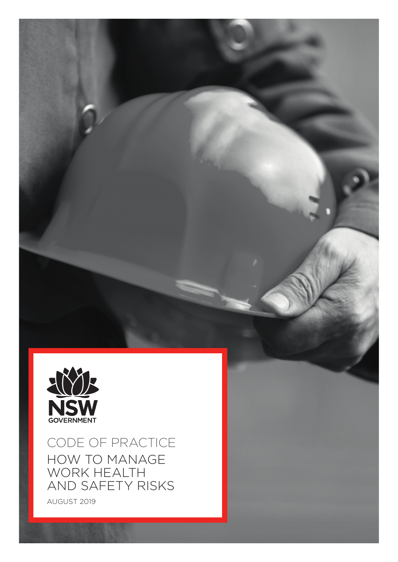

CODE OF PRACTICE HOW TO MANAGE WORK HEALTH AND SAFETY RISKS

AUGUST 2019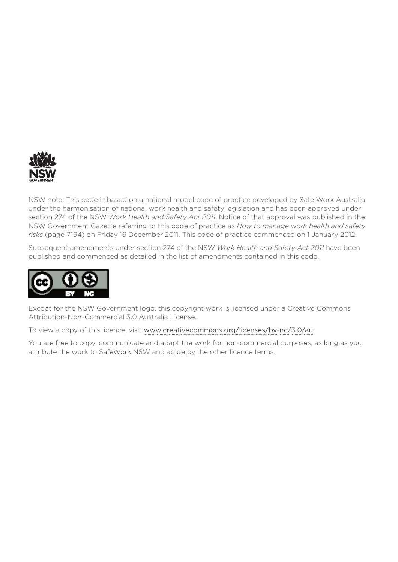

NSW note: This code is based on a national model code of practice developed by Safe Work Australia under the harmonisation of national work health and safety legislation and has been approved under section 274 of the NSW *Work Health and Safety Act 2011*. Notice of that approval was published in the NSW Government Gazette referring to this code of practice as *How to manage work health and safety risks* (page 7194) on Friday 16 December 2011. This code of practice commenced on 1 January 2012.

Subsequent amendments under section 274 of the NSW *Work Health and Safety Act 2011* have been published and commenced as detailed in the list of amendments contained in this code.



Except for the NSW Government logo, this copyright work is licensed under a Creative Commons Attribution-Non-Commercial 3.0 Australia License.

To view a copy of this licence, visit [www.creativecommons.org/licenses/by-nc/3.0/au](http://www.creativecommons.org/licenses/by-nc/3.0/au)

You are free to copy, communicate and adapt the work for non-commercial purposes, as long as you attribute the work to SafeWork NSW and abide by the other licence terms.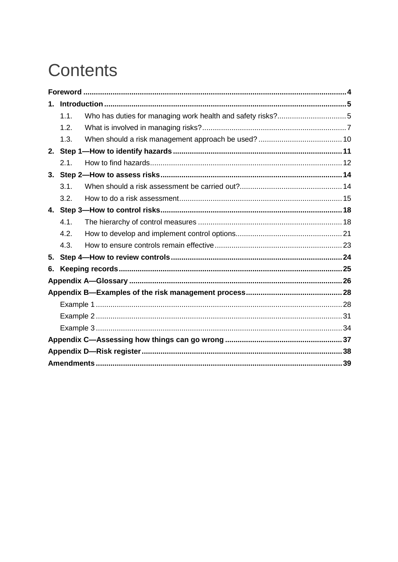# **Contents**

| 1. |      |  |
|----|------|--|
|    | 1.1. |  |
|    | 1.2. |  |
|    | 1.3. |  |
|    |      |  |
|    | 2.1. |  |
|    |      |  |
|    | 3.1. |  |
|    | 3.2. |  |
|    |      |  |
|    | 4.1. |  |
|    | 4.2. |  |
|    | 4.3. |  |
| 5. |      |  |
| 6. |      |  |
|    |      |  |
|    |      |  |
|    |      |  |
|    |      |  |
|    |      |  |
|    |      |  |
|    |      |  |
|    |      |  |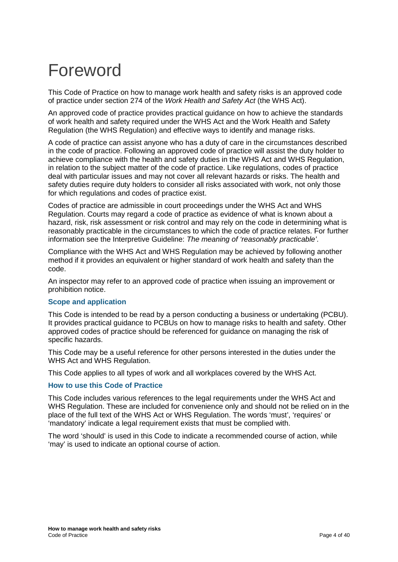# <span id="page-3-0"></span>Foreword

This Code of Practice on how to manage work health and safety risks is an approved code of practice under section 274 of the *Work Health and Safety Act* (the WHS Act).

An approved code of practice provides practical guidance on how to achieve the standards of work health and safety required under the WHS Act and the Work Health and Safety Regulation (the WHS Regulation) and effective ways to identify and manage risks.

A code of practice can assist anyone who has a duty of care in the circumstances described in the code of practice. Following an approved code of practice will assist the duty holder to achieve compliance with the health and safety duties in the WHS Act and WHS Regulation, in relation to the subject matter of the code of practice. Like regulations, codes of practice deal with particular issues and may not cover all relevant hazards or risks. The health and safety duties require duty holders to consider all risks associated with work, not only those for which regulations and codes of practice exist.

Codes of practice are admissible in court proceedings under the WHS Act and WHS Regulation. Courts may regard a code of practice as evidence of what is known about a hazard, risk, risk assessment or risk control and may rely on the code in determining what is reasonably practicable in the circumstances to which the code of practice relates. For further information see the Interpretive Guideline: *The meaning of 'reasonably practicable'*.

Compliance with the WHS Act and WHS Regulation may be achieved by following another method if it provides an equivalent or higher standard of work health and safety than the code.

An inspector may refer to an approved code of practice when issuing an improvement or prohibition notice.

#### **Scope and application**

This Code is intended to be read by a person conducting a business or undertaking (PCBU). It provides practical guidance to PCBUs on how to manage risks to health and safety. Other approved codes of practice should be referenced for guidance on managing the risk of specific hazards.

This Code may be a useful reference for other persons interested in the duties under the WHS Act and WHS Regulation.

This Code applies to all types of work and all workplaces covered by the WHS Act.

#### **How to use this Code of Practice**

This Code includes various references to the legal requirements under the WHS Act and WHS Regulation. These are included for convenience only and should not be relied on in the place of the full text of the WHS Act or WHS Regulation. The words 'must', 'requires' or 'mandatory' indicate a legal requirement exists that must be complied with.

The word 'should' is used in this Code to indicate a recommended course of action, while 'may' is used to indicate an optional course of action.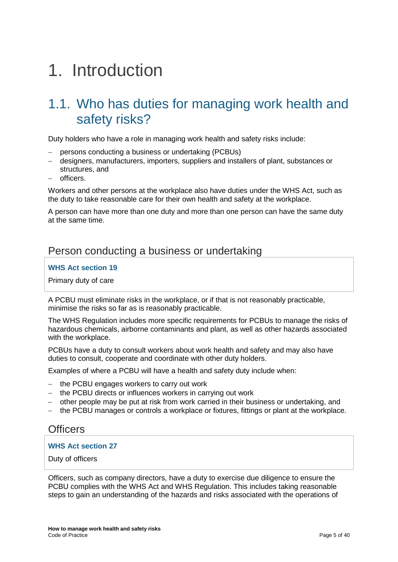# <span id="page-4-0"></span>1. Introduction

## <span id="page-4-1"></span>1.1. Who has duties for managing work health and safety risks?

Duty holders who have a role in managing work health and safety risks include:

- − persons conducting a business or undertaking (PCBUs)
- − designers, manufacturers, importers, suppliers and installers of plant, substances or structures, and
- − officers.

Workers and other persons at the workplace also have duties under the WHS Act, such as the duty to take reasonable care for their own health and safety at the workplace.

A person can have more than one duty and more than one person can have the same duty at the same time.

### Person conducting a business or undertaking

#### **WHS Act section 19**

Primary duty of care

A PCBU must eliminate risks in the workplace, or if that is not reasonably practicable, minimise the risks so far as is reasonably practicable.

The WHS Regulation includes more specific requirements for PCBUs to manage the risks of hazardous chemicals, airborne contaminants and plant, as well as other hazards associated with the workplace.

PCBUs have a duty to consult workers about work health and safety and may also have duties to consult, cooperate and coordinate with other duty holders.

Examples of where a PCBU will have a health and safety duty include when:

- − the PCBU engages workers to carry out work
- − the PCBU directs or influences workers in carrying out work
- − other people may be put at risk from work carried in their business or undertaking, and
- − the PCBU manages or controls a workplace or fixtures, fittings or plant at the workplace.

#### **Officers**

#### **WHS Act section 27**

Duty of officers

Officers, such as company directors, have a duty to exercise due diligence to ensure the PCBU complies with the WHS Act and WHS Regulation. This includes taking reasonable steps to gain an understanding of the hazards and risks associated with the operations of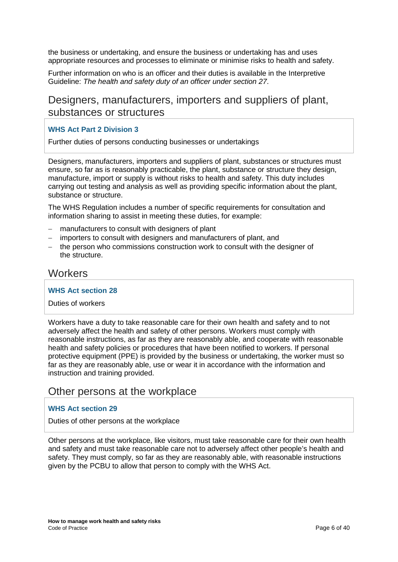the business or undertaking, and ensure the business or undertaking has and uses appropriate resources and processes to eliminate or minimise risks to health and safety.

Further information on who is an officer and their duties is available in the Interpretive Guideline: *The health and safety duty of an officer under section 27*.

## Designers, manufacturers, importers and suppliers of plant, substances or structures

#### **WHS Act Part 2 Division 3**

Further duties of persons conducting businesses or undertakings

Designers, manufacturers, importers and suppliers of plant, substances or structures must ensure, so far as is reasonably practicable, the plant, substance or structure they design, manufacture, import or supply is without risks to health and safety. This duty includes carrying out testing and analysis as well as providing specific information about the plant, substance or structure.

The WHS Regulation includes a number of specific requirements for consultation and information sharing to assist in meeting these duties, for example:

- − manufacturers to consult with designers of plant
- − importers to consult with designers and manufacturers of plant, and
- − the person who commissions construction work to consult with the designer of the structure.

#### **Workers**

#### **WHS Act section 28**

#### Duties of workers

Workers have a duty to take reasonable care for their own health and safety and to not adversely affect the health and safety of other persons. Workers must comply with reasonable instructions, as far as they are reasonably able, and cooperate with reasonable health and safety policies or procedures that have been notified to workers. If personal protective equipment (PPE) is provided by the business or undertaking, the worker must so far as they are reasonably able, use or wear it in accordance with the information and instruction and training provided.

#### Other persons at the workplace

#### **WHS Act section 29**

Duties of other persons at the workplace

Other persons at the workplace, like visitors, must take reasonable care for their own health and safety and must take reasonable care not to adversely affect other people's health and safety. They must comply, so far as they are reasonably able, with reasonable instructions given by the PCBU to allow that person to comply with the WHS Act.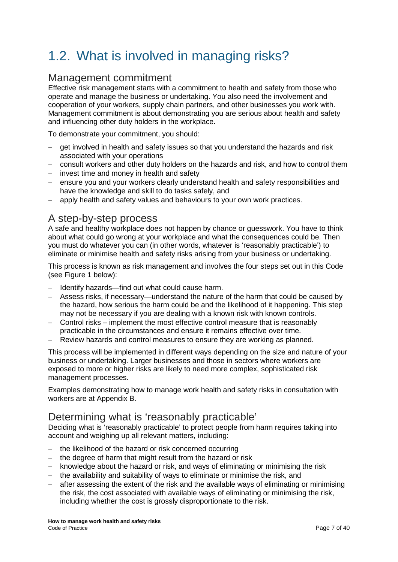# <span id="page-6-0"></span>1.2. What is involved in managing risks?

### Management commitment

Effective risk management starts with a commitment to health and safety from those who operate and manage the business or undertaking. You also need the involvement and cooperation of your workers, supply chain partners, and other businesses you work with. Management commitment is about demonstrating you are serious about health and safety and influencing other duty holders in the workplace.

To demonstrate your commitment, you should:

- − get involved in health and safety issues so that you understand the hazards and risk associated with your operations
- − consult workers and other duty holders on the hazards and risk, and how to control them
- − invest time and money in health and safety
- − ensure you and your workers clearly understand health and safety responsibilities and have the knowledge and skill to do tasks safely, and
- − apply health and safety values and behaviours to your own work practices.

## A step-by-step process

A safe and healthy workplace does not happen by chance or guesswork. You have to think about what could go wrong at your workplace and what the consequences could be. Then you must do whatever you can (in other words, whatever is 'reasonably practicable') to eliminate or minimise health and safety risks arising from your business or undertaking.

This process is known as risk management and involves the four steps set out in this Code (see Figure 1 below):

- − Identify hazards—find out what could cause harm.
- − Assess risks, if necessary—understand the nature of the harm that could be caused by the hazard, how serious the harm could be and the likelihood of it happening. This step may not be necessary if you are dealing with a known risk with known controls.
- − Control risks implement the most effective control measure that is reasonably practicable in the circumstances and ensure it remains effective over time.
- − Review hazards and control measures to ensure they are working as planned.

This process will be implemented in different ways depending on the size and nature of your business or undertaking. Larger businesses and those in sectors where workers are exposed to more or higher risks are likely to need more complex, sophisticated risk management processes.

Examples demonstrating how to manage work health and safety risks in consultation with workers are at Appendix B.

## Determining what is 'reasonably practicable'

Deciding what is 'reasonably practicable' to protect people from harm requires taking into account and weighing up all relevant matters, including:

- − the likelihood of the hazard or risk concerned occurring
- − the degree of harm that might result from the hazard or risk
- − knowledge about the hazard or risk, and ways of eliminating or minimising the risk
- − the availability and suitability of ways to eliminate or minimise the risk, and
- after assessing the extent of the risk and the available ways of eliminating or minimising the risk, the cost associated with available ways of eliminating or minimising the risk, including whether the cost is grossly disproportionate to the risk.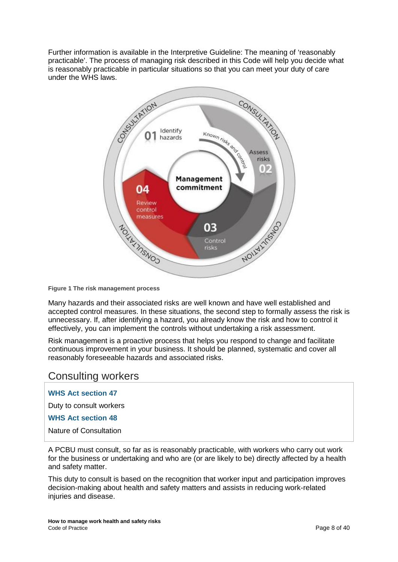Further information is available in the Interpretive Guideline: The meaning of 'reasonably practicable'. The process of managing risk described in this Code will help you decide what is reasonably practicable in particular situations so that you can meet your duty of care under the WHS laws.



**Figure 1 The risk management process**

Many hazards and their associated risks are well known and have well established and accepted control measures. In these situations, the second step to formally assess the risk is unnecessary. If, after identifying a hazard, you already know the risk and how to control it effectively, you can implement the controls without undertaking a risk assessment.

Risk management is a proactive process that helps you respond to change and facilitate continuous improvement in your business. It should be planned, systematic and cover all reasonably foreseeable hazards and associated risks.

#### Consulting workers

**WHS Act section 47**

Duty to consult workers

**WHS Act section 48**

Nature of Consultation

A PCBU must consult, so far as is reasonably practicable, with workers who carry out work for the business or undertaking and who are (or are likely to be) directly affected by a health and safety matter.

This duty to consult is based on the recognition that worker input and participation improves decision-making about health and safety matters and assists in reducing work-related injuries and disease.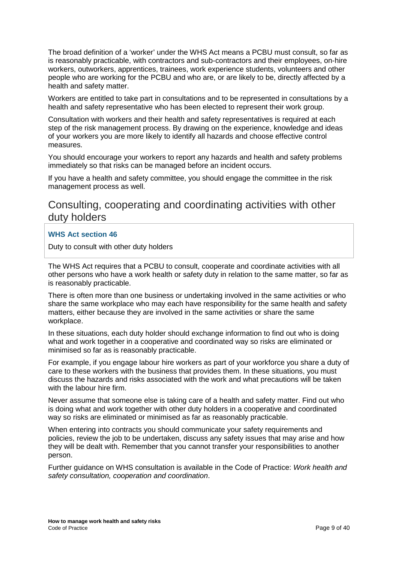The broad definition of a 'worker' under the WHS Act means a PCBU must consult, so far as is reasonably practicable, with contractors and sub-contractors and their employees, on-hire workers, outworkers, apprentices, trainees, work experience students, volunteers and other people who are working for the PCBU and who are, or are likely to be, directly affected by a health and safety matter.

Workers are entitled to take part in consultations and to be represented in consultations by a health and safety representative who has been elected to represent their work group.

Consultation with workers and their health and safety representatives is required at each step of the risk management process. By drawing on the experience, knowledge and ideas of your workers you are more likely to identify all hazards and choose effective control measures.

You should encourage your workers to report any hazards and health and safety problems immediately so that risks can be managed before an incident occurs.

If you have a health and safety committee, you should engage the committee in the risk management process as well.

### Consulting, cooperating and coordinating activities with other duty holders

#### **WHS Act section 46**

Duty to consult with other duty holders

The WHS Act requires that a PCBU to consult, cooperate and coordinate activities with all other persons who have a work health or safety duty in relation to the same matter, so far as is reasonably practicable.

There is often more than one business or undertaking involved in the same activities or who share the same workplace who may each have responsibility for the same health and safety matters, either because they are involved in the same activities or share the same workplace.

In these situations, each duty holder should exchange information to find out who is doing what and work together in a cooperative and coordinated way so risks are eliminated or minimised so far as is reasonably practicable.

For example, if you engage labour hire workers as part of your workforce you share a duty of care to these workers with the business that provides them. In these situations, you must discuss the hazards and risks associated with the work and what precautions will be taken with the labour hire firm.

Never assume that someone else is taking care of a health and safety matter. Find out who is doing what and work together with other duty holders in a cooperative and coordinated way so risks are eliminated or minimised as far as reasonably practicable.

When entering into contracts you should communicate your safety requirements and policies, review the job to be undertaken, discuss any safety issues that may arise and how they will be dealt with. Remember that you cannot transfer your responsibilities to another person.

Further guidance on WHS consultation is available in the Code of Practice: *Work health and safety consultation, cooperation and coordination*.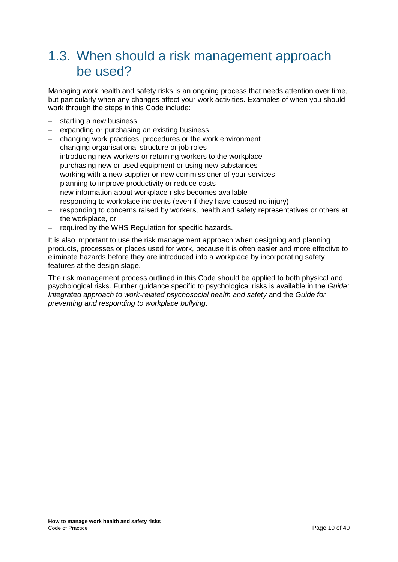## <span id="page-9-0"></span>1.3. When should a risk management approach be used?

Managing work health and safety risks is an ongoing process that needs attention over time, but particularly when any changes affect your work activities. Examples of when you should work through the steps in this Code include:

- − starting a new business
- − expanding or purchasing an existing business
- − changing work practices, procedures or the work environment
- − changing organisational structure or job roles
- − introducing new workers or returning workers to the workplace
- − purchasing new or used equipment or using new substances
- − working with a new supplier or new commissioner of your services
- − planning to improve productivity or reduce costs
- − new information about workplace risks becomes available
- − responding to workplace incidents (even if they have caused no injury)
- − responding to concerns raised by workers, health and safety representatives or others at the workplace, or
- − required by the WHS Regulation for specific hazards.

It is also important to use the risk management approach when designing and planning products, processes or places used for work, because it is often easier and more effective to eliminate hazards before they are introduced into a workplace by incorporating safety features at the design stage.

The risk management process outlined in this Code should be applied to both physical and psychological risks. Further guidance specific to psychological risks is available in the *Guide: Integrated approach to work-related psychosocial health and safety* and the *Guide for preventing and responding to workplace bullying*.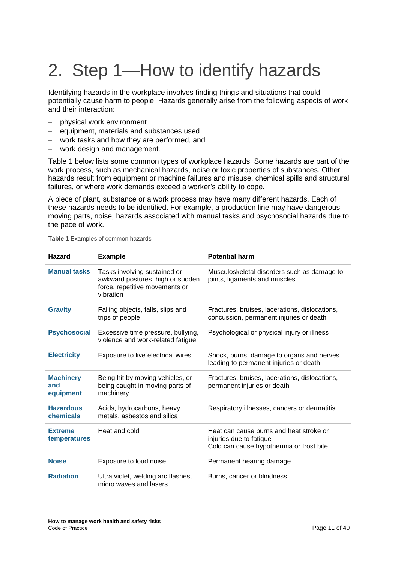# <span id="page-10-0"></span>2. Step 1—How to identify hazards

Identifying hazards in the workplace involves finding things and situations that could potentially cause harm to people. Hazards generally arise from the following aspects of work and their interaction:

- − physical work environment
- − equipment, materials and substances used
- − work tasks and how they are performed, and
- − work design and management.

[Table 1](#page-10-1) below lists some common types of workplace hazards. Some hazards are part of the work process, such as mechanical hazards, noise or toxic properties of substances. Other hazards result from equipment or machine failures and misuse, chemical spills and structural failures, or where work demands exceed a worker's ability to cope.

A piece of plant, substance or a work process may have many different hazards. Each of these hazards needs to be identified. For example, a production line may have dangerous moving parts, noise, hazards associated with manual tasks and psychosocial hazards due to the pace of work.

| <b>Hazard</b>                        | <b>Example</b>                                                                                                  | <b>Potential harm</b>                                                                                          |
|--------------------------------------|-----------------------------------------------------------------------------------------------------------------|----------------------------------------------------------------------------------------------------------------|
| <b>Manual tasks</b>                  | Tasks involving sustained or<br>awkward postures, high or sudden<br>force, repetitive movements or<br>vibration | Musculoskeletal disorders such as damage to<br>joints, ligaments and muscles                                   |
| <b>Gravity</b>                       | Falling objects, falls, slips and<br>trips of people                                                            | Fractures, bruises, lacerations, dislocations,<br>concussion, permanent injuries or death                      |
| <b>Psychosocial</b>                  | Excessive time pressure, bullying,<br>violence and work-related fatigue                                         | Psychological or physical injury or illness                                                                    |
| <b>Electricity</b>                   | Exposure to live electrical wires                                                                               | Shock, burns, damage to organs and nerves<br>leading to permanent injuries or death                            |
| <b>Machinery</b><br>and<br>equipment | Being hit by moving vehicles, or<br>being caught in moving parts of<br>machinery                                | Fractures, bruises, lacerations, dislocations,<br>permanent injuries or death                                  |
| <b>Hazardous</b><br>chemicals        | Acids, hydrocarbons, heavy<br>metals, asbestos and silica                                                       | Respiratory illnesses, cancers or dermatitis                                                                   |
| <b>Extreme</b><br>temperatures       | Heat and cold                                                                                                   | Heat can cause burns and heat stroke or<br>injuries due to fatigue<br>Cold can cause hypothermia or frost bite |
| <b>Noise</b>                         | Exposure to loud noise                                                                                          | Permanent hearing damage                                                                                       |
| <b>Radiation</b>                     | Ultra violet, welding arc flashes,<br>micro waves and lasers                                                    | Burns, cancer or blindness                                                                                     |

<span id="page-10-1"></span>**Table 1** Examples of common hazards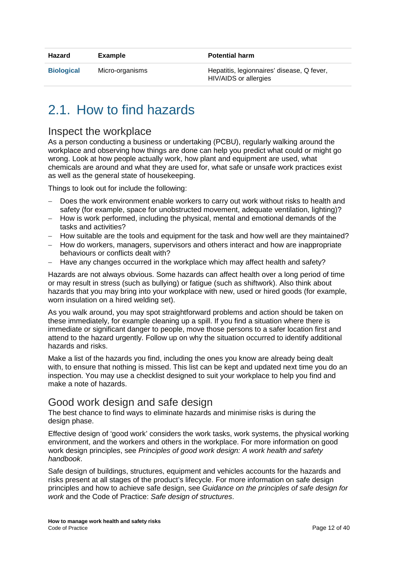| Hazard            | Example         | <b>Potential harm</b>                                                      |
|-------------------|-----------------|----------------------------------------------------------------------------|
| <b>Biological</b> | Micro-organisms | Hepatitis, legionnaires' disease, Q fever,<br><b>HIV/AIDS</b> or allergies |
|                   |                 |                                                                            |

# <span id="page-11-0"></span>2.1. How to find hazards

#### Inspect the workplace

As a person conducting a business or undertaking (PCBU), regularly walking around the workplace and observing how things are done can help you predict what could or might go wrong. Look at how people actually work, how plant and equipment are used, what chemicals are around and what they are used for, what safe or unsafe work practices exist as well as the general state of housekeeping.

Things to look out for include the following:

- Does the work environment enable workers to carry out work without risks to health and safety (for example, space for unobstructed movement, adequate ventilation, lighting)?
- − How is work performed, including the physical, mental and emotional demands of the tasks and activities?
- − How suitable are the tools and equipment for the task and how well are they maintained?
- − How do workers, managers, supervisors and others interact and how are inappropriate behaviours or conflicts dealt with?
- Have any changes occurred in the workplace which may affect health and safety?

Hazards are not always obvious. Some hazards can affect health over a long period of time or may result in stress (such as bullying) or fatigue (such as shiftwork). Also think about hazards that you may bring into your workplace with new, used or hired goods (for example, worn insulation on a hired welding set).

As you walk around, you may spot straightforward problems and action should be taken on these immediately, for example cleaning up a spill. If you find a situation where there is immediate or significant danger to people, move those persons to a safer location first and attend to the hazard urgently. Follow up on why the situation occurred to identify additional hazards and risks.

Make a list of the hazards you find, including the ones you know are already being dealt with, to ensure that nothing is missed. This list can be kept and updated next time you do an inspection. You may use a checklist designed to suit your workplace to help you find and make a note of hazards.

## Good work design and safe design

The best chance to find ways to eliminate hazards and minimise risks is during the design phase.

Effective design of 'good work' considers the work tasks, work systems, the physical working environment, and the workers and others in the workplace. For more information on good work design principles, see *Principles of good work design: A work health and safety handbook*.

Safe design of buildings, structures, equipment and vehicles accounts for the hazards and risks present at all stages of the product's lifecycle. For more information on safe design principles and how to achieve safe design, see *Guidance on the principles of safe design for work* and the Code of Practice: *Safe design of structures*.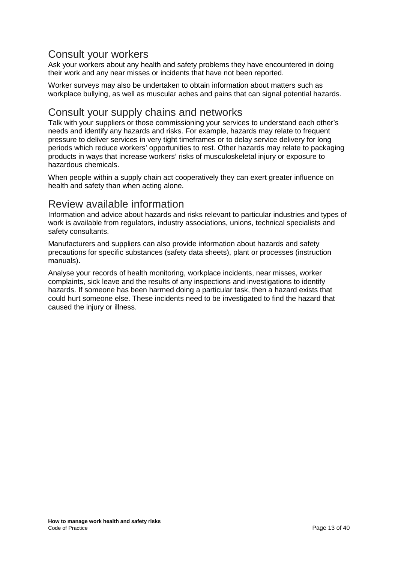### Consult your workers

Ask your workers about any health and safety problems they have encountered in doing their work and any near misses or incidents that have not been reported.

Worker surveys may also be undertaken to obtain information about matters such as workplace bullying, as well as muscular aches and pains that can signal potential hazards.

### Consult your supply chains and networks

Talk with your suppliers or those commissioning your services to understand each other's needs and identify any hazards and risks. For example, hazards may relate to frequent pressure to deliver services in very tight timeframes or to delay service delivery for long periods which reduce workers' opportunities to rest. Other hazards may relate to packaging products in ways that increase workers' risks of musculoskeletal injury or exposure to hazardous chemicals.

When people within a supply chain act cooperatively they can exert greater influence on health and safety than when acting alone.

## Review available information

Information and advice about hazards and risks relevant to particular industries and types of work is available from regulators, industry associations, unions, technical specialists and safety consultants.

Manufacturers and suppliers can also provide information about hazards and safety precautions for specific substances (safety data sheets), plant or processes (instruction manuals).

Analyse your records of health monitoring, workplace incidents, near misses, worker complaints, sick leave and the results of any inspections and investigations to identify hazards. If someone has been harmed doing a particular task, then a hazard exists that could hurt someone else. These incidents need to be investigated to find the hazard that caused the injury or illness.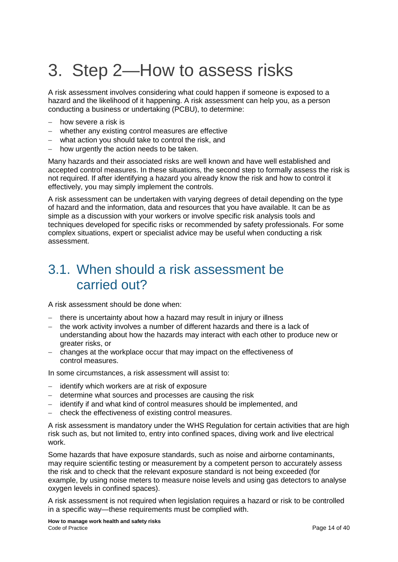# <span id="page-13-0"></span>3. Step 2—How to assess risks

A risk assessment involves considering what could happen if someone is exposed to a hazard and the likelihood of it happening. A risk assessment can help you, as a person conducting a business or undertaking (PCBU), to determine:

- − how severe a risk is
- − whether any existing control measures are effective
- − what action you should take to control the risk, and
- − how urgently the action needs to be taken.

Many hazards and their associated risks are well known and have well established and accepted control measures. In these situations, the second step to formally assess the risk is not required. If after identifying a hazard you already know the risk and how to control it effectively, you may simply implement the controls.

A risk assessment can be undertaken with varying degrees of detail depending on the type of hazard and the information, data and resources that you have available. It can be as simple as a discussion with your workers or involve specific risk analysis tools and techniques developed for specific risks or recommended by safety professionals. For some complex situations, expert or specialist advice may be useful when conducting a risk assessment.

## <span id="page-13-1"></span>3.1. When should a risk assessment be carried out?

A risk assessment should be done when:

- − there is uncertainty about how a hazard may result in injury or illness
- − the work activity involves a number of different hazards and there is a lack of understanding about how the hazards may interact with each other to produce new or greater risks, or
- − changes at the workplace occur that may impact on the effectiveness of control measures.

In some circumstances, a risk assessment will assist to:

- − identify which workers are at risk of exposure
- − determine what sources and processes are causing the risk
- − identify if and what kind of control measures should be implemented, and
- − check the effectiveness of existing control measures.

A risk assessment is mandatory under the WHS Regulation for certain activities that are high risk such as, but not limited to, entry into confined spaces, diving work and live electrical work.

Some hazards that have exposure standards, such as noise and airborne contaminants, may require scientific testing or measurement by a competent person to accurately assess the risk and to check that the relevant exposure standard is not being exceeded (for example, by using noise meters to measure noise levels and using gas detectors to analyse oxygen levels in confined spaces).

A risk assessment is not required when legislation requires a hazard or risk to be controlled in a specific way—these requirements must be complied with.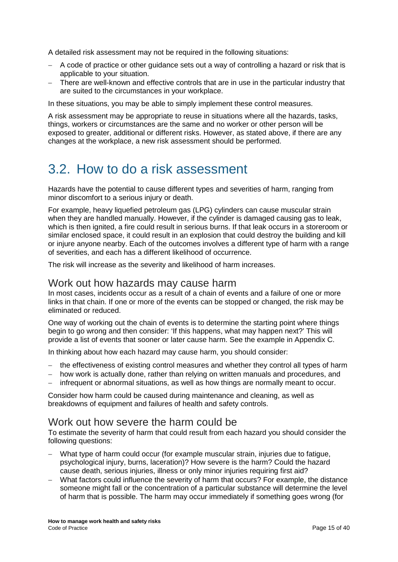A detailed risk assessment may not be required in the following situations:

- − A code of practice or other guidance sets out a way of controlling a hazard or risk that is applicable to your situation.
- − There are well-known and effective controls that are in use in the particular industry that are suited to the circumstances in your workplace.

In these situations, you may be able to simply implement these control measures.

A risk assessment may be appropriate to reuse in situations where all the hazards, tasks, things, workers or circumstances are the same and no worker or other person will be exposed to greater, additional or different risks. However, as stated above, if there are any changes at the workplace, a new risk assessment should be performed.

## <span id="page-14-0"></span>3.2. How to do a risk assessment

Hazards have the potential to cause different types and severities of harm, ranging from minor discomfort to a serious injury or death.

For example, heavy liquefied petroleum gas (LPG) cylinders can cause muscular strain when they are handled manually. However, if the cylinder is damaged causing gas to leak, which is then ignited, a fire could result in serious burns. If that leak occurs in a storeroom or similar enclosed space, it could result in an explosion that could destroy the building and kill or injure anyone nearby. Each of the outcomes involves a different type of harm with a range of severities, and each has a different likelihood of occurrence.

The risk will increase as the severity and likelihood of harm increases.

#### Work out how hazards may cause harm

In most cases, incidents occur as a result of a chain of events and a failure of one or more links in that chain. If one or more of the events can be stopped or changed, the risk may be eliminated or reduced.

One way of working out the chain of events is to determine the starting point where things begin to go wrong and then consider: 'If this happens, what may happen next?' This will provide a list of events that sooner or later cause harm. See the example in Appendix C.

In thinking about how each hazard may cause harm, you should consider:

- − the effectiveness of existing control measures and whether they control all types of harm
- − how work is actually done, rather than relying on written manuals and procedures, and
- − infrequent or abnormal situations, as well as how things are normally meant to occur.

Consider how harm could be caused during maintenance and cleaning, as well as breakdowns of equipment and failures of health and safety controls.

#### Work out how severe the harm could be

To estimate the severity of harm that could result from each hazard you should consider the following questions:

- − What type of harm could occur (for example muscular strain, injuries due to fatigue, psychological injury, burns, laceration)? How severe is the harm? Could the hazard cause death, serious injuries, illness or only minor injuries requiring first aid?
- − What factors could influence the severity of harm that occurs? For example, the distance someone might fall or the concentration of a particular substance will determine the level of harm that is possible. The harm may occur immediately if something goes wrong (for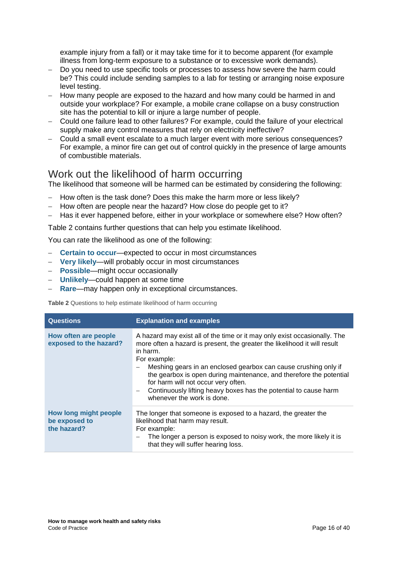example injury from a fall) or it may take time for it to become apparent (for example illness from long-term exposure to a substance or to excessive work demands).

- − Do you need to use specific tools or processes to assess how severe the harm could be? This could include sending samples to a lab for testing or arranging noise exposure level testing.
- − How many people are exposed to the hazard and how many could be harmed in and outside your workplace? For example, a mobile crane collapse on a busy construction site has the potential to kill or injure a large number of people.
- − Could one failure lead to other failures? For example, could the failure of your electrical supply make any control measures that rely on electricity ineffective?
- − Could a small event escalate to a much larger event with more serious consequences? For example, a minor fire can get out of control quickly in the presence of large amounts of combustible materials.

#### Work out the likelihood of harm occurring

The likelihood that someone will be harmed can be estimated by considering the following:

- − How often is the task done? Does this make the harm more or less likely?
- − How often are people near the hazard? How close do people get to it?
- Has it ever happened before, either in your workplace or somewhere else? How often?

[Table 2](#page-15-0) contains further questions that can help you estimate likelihood.

You can rate the likelihood as one of the following:

- − **Certain to occur**—expected to occur in most circumstances
- − **Very likely**—will probably occur in most circumstances
- − **Possible**—might occur occasionally
- − **Unlikely**—could happen at some time
- − **Rare**—may happen only in exceptional circumstances.

<span id="page-15-0"></span>**Table 2** Questions to help estimate likelihood of harm occurring

| <b>Questions</b>                                      | <b>Explanation and examples</b>                                                                                                                                                                                                                                                                                                                                                                                                                                       |
|-------------------------------------------------------|-----------------------------------------------------------------------------------------------------------------------------------------------------------------------------------------------------------------------------------------------------------------------------------------------------------------------------------------------------------------------------------------------------------------------------------------------------------------------|
| How often are people<br>exposed to the hazard?        | A hazard may exist all of the time or it may only exist occasionally. The<br>more often a hazard is present, the greater the likelihood it will result<br>in harm.<br>For example:<br>Meshing gears in an enclosed gearbox can cause crushing only if<br>the gearbox is open during maintenance, and therefore the potential<br>for harm will not occur very often.<br>Continuously lifting heavy boxes has the potential to cause harm<br>whenever the work is done. |
| How long might people<br>be exposed to<br>the hazard? | The longer that someone is exposed to a hazard, the greater the<br>likelihood that harm may result.<br>For example:<br>The longer a person is exposed to noisy work, the more likely it is<br>that they will suffer hearing loss.                                                                                                                                                                                                                                     |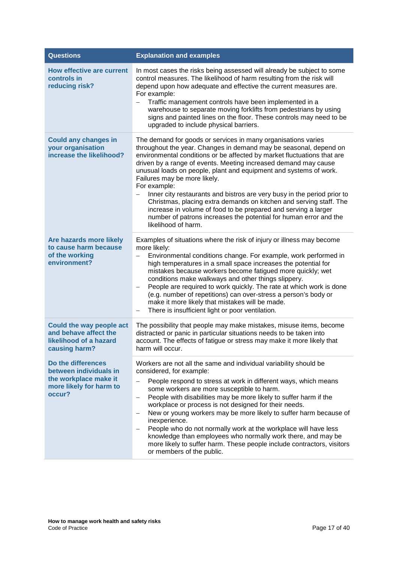| <b>Questions</b>                                                                                           | <b>Explanation and examples</b>                                                                                                                                                                                                                                                                                                                                                                                                                                                                                                                                                                                                                                                                                                                           |
|------------------------------------------------------------------------------------------------------------|-----------------------------------------------------------------------------------------------------------------------------------------------------------------------------------------------------------------------------------------------------------------------------------------------------------------------------------------------------------------------------------------------------------------------------------------------------------------------------------------------------------------------------------------------------------------------------------------------------------------------------------------------------------------------------------------------------------------------------------------------------------|
| <b>How effective are current</b><br>controls in<br>reducing risk?                                          | In most cases the risks being assessed will already be subject to some<br>control measures. The likelihood of harm resulting from the risk will<br>depend upon how adequate and effective the current measures are.<br>For example:<br>Traffic management controls have been implemented in a<br>warehouse to separate moving forklifts from pedestrians by using<br>signs and painted lines on the floor. These controls may need to be<br>upgraded to include physical barriers.                                                                                                                                                                                                                                                                        |
| <b>Could any changes in</b><br>your organisation<br>increase the likelihood?                               | The demand for goods or services in many organisations varies<br>throughout the year. Changes in demand may be seasonal, depend on<br>environmental conditions or be affected by market fluctuations that are<br>driven by a range of events. Meeting increased demand may cause<br>unusual loads on people, plant and equipment and systems of work.<br>Failures may be more likely.<br>For example:<br>Inner city restaurants and bistros are very busy in the period prior to<br>Christmas, placing extra demands on kitchen and serving staff. The<br>increase in volume of food to be prepared and serving a larger<br>number of patrons increases the potential for human error and the<br>likelihood of harm.                                      |
| Are hazards more likely<br>to cause harm because<br>of the working<br>environment?                         | Examples of situations where the risk of injury or illness may become<br>more likely:<br>Environmental conditions change. For example, work performed in<br>$\overline{\phantom{0}}$<br>high temperatures in a small space increases the potential for<br>mistakes because workers become fatigued more quickly; wet<br>conditions make walkways and other things slippery.<br>People are required to work quickly. The rate at which work is done<br>$\overline{\phantom{0}}$<br>(e.g. number of repetitions) can over-stress a person's body or<br>make it more likely that mistakes will be made.<br>There is insufficient light or poor ventilation.<br>—                                                                                             |
| Could the way people act<br>and behave affect the<br>likelihood of a hazard<br>causing harm?               | The possibility that people may make mistakes, misuse items, become<br>distracted or panic in particular situations needs to be taken into<br>account. The effects of fatigue or stress may make it more likely that<br>harm will occur.                                                                                                                                                                                                                                                                                                                                                                                                                                                                                                                  |
| Do the differences<br>between individuals in<br>the workplace make it<br>more likely for harm to<br>occur? | Workers are not all the same and individual variability should be<br>considered, for example:<br>People respond to stress at work in different ways, which means<br>some workers are more susceptible to harm.<br>People with disabilities may be more likely to suffer harm if the<br>$\overline{\phantom{0}}$<br>workplace or process is not designed for their needs.<br>New or young workers may be more likely to suffer harm because of<br>$\overline{\phantom{0}}$<br>inexperience.<br>People who do not normally work at the workplace will have less<br>$\qquad \qquad -$<br>knowledge than employees who normally work there, and may be<br>more likely to suffer harm. These people include contractors, visitors<br>or members of the public. |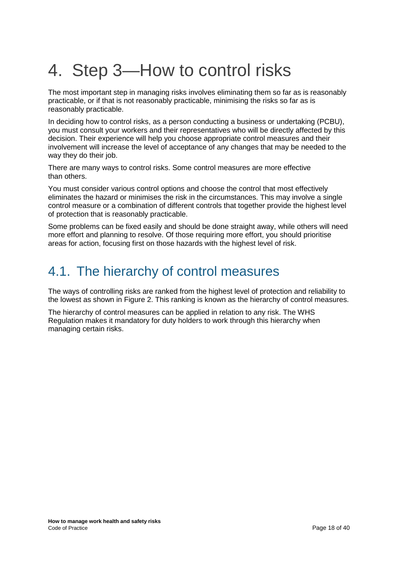# <span id="page-17-0"></span>4. Step 3—How to control risks

The most important step in managing risks involves eliminating them so far as is reasonably practicable, or if that is not reasonably practicable, minimising the risks so far as is reasonably practicable.

In deciding how to control risks, as a person conducting a business or undertaking (PCBU), you must consult your workers and their representatives who will be directly affected by this decision. Their experience will help you choose appropriate control measures and their involvement will increase the level of acceptance of any changes that may be needed to the way they do their job.

There are many ways to control risks. Some control measures are more effective than others.

You must consider various control options and choose the control that most effectively eliminates the hazard or minimises the risk in the circumstances. This may involve a single control measure or a combination of different controls that together provide the highest level of protection that is reasonably practicable.

Some problems can be fixed easily and should be done straight away, while others will need more effort and planning to resolve. Of those requiring more effort, you should prioritise areas for action, focusing first on those hazards with the highest level of risk.

# <span id="page-17-1"></span>4.1. The hierarchy of control measures

The ways of controlling risks are ranked from the highest level of protection and reliability to the lowest as shown in Figure 2. This ranking is known as the hierarchy of control measures.

The hierarchy of control measures can be applied in relation to any risk. The WHS Regulation makes it mandatory for duty holders to work through this hierarchy when managing certain risks.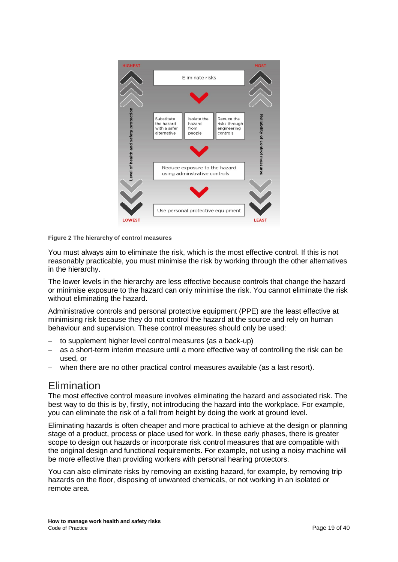

**Figure 2 The hierarchy of control measures**

You must always aim to eliminate the risk, which is the most effective control. If this is not reasonably practicable, you must minimise the risk by working through the other alternatives in the hierarchy.

The lower levels in the hierarchy are less effective because controls that change the hazard or minimise exposure to the hazard can only minimise the risk. You cannot eliminate the risk without eliminating the hazard.

Administrative controls and personal protective equipment (PPE) are the least effective at minimising risk because they do not control the hazard at the source and rely on human behaviour and supervision. These control measures should only be used:

- to supplement higher level control measures (as a back-up)
- as a short-term interim measure until a more effective way of controlling the risk can be used, or
- − when there are no other practical control measures available (as a last resort).

#### Elimination

The most effective control measure involves eliminating the hazard and associated risk. The best way to do this is by, firstly, not introducing the hazard into the workplace. For example, you can eliminate the risk of a fall from height by doing the work at ground level.

Eliminating hazards is often cheaper and more practical to achieve at the design or planning stage of a product, process or place used for work. In these early phases, there is greater scope to design out hazards or incorporate risk control measures that are compatible with the original design and functional requirements. For example, not using a noisy machine will be more effective than providing workers with personal hearing protectors.

You can also eliminate risks by removing an existing hazard, for example, by removing trip hazards on the floor, disposing of unwanted chemicals, or not working in an isolated or remote area.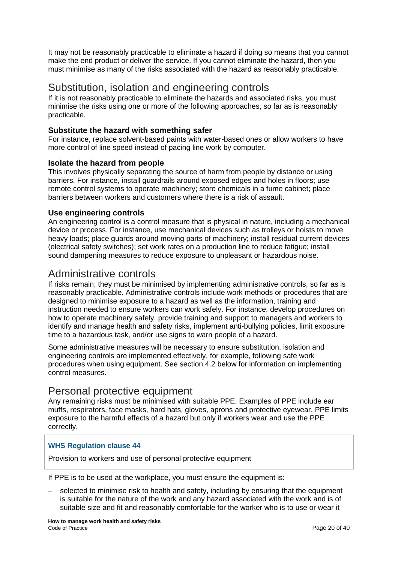It may not be reasonably practicable to eliminate a hazard if doing so means that you cannot make the end product or deliver the service. If you cannot eliminate the hazard, then you must minimise as many of the risks associated with the hazard as reasonably practicable.

## Substitution, isolation and engineering controls

If it is not reasonably practicable to eliminate the hazards and associated risks, you must minimise the risks using one or more of the following approaches, so far as is reasonably practicable.

#### **Substitute the hazard with something safer**

For instance, replace solvent-based paints with water-based ones or allow workers to have more control of line speed instead of pacing line work by computer.

#### **Isolate the hazard from people**

This involves physically separating the source of harm from people by distance or using barriers. For instance, install guardrails around exposed edges and holes in floors; use remote control systems to operate machinery; store chemicals in a fume cabinet; place barriers between workers and customers where there is a risk of assault.

#### **Use engineering controls**

An engineering control is a control measure that is physical in nature, including a mechanical device or process. For instance, use mechanical devices such as trolleys or hoists to move heavy loads; place guards around moving parts of machinery; install residual current devices (electrical safety switches); set work rates on a production line to reduce fatigue; install sound dampening measures to reduce exposure to unpleasant or hazardous noise.

#### Administrative controls

If risks remain, they must be minimised by implementing administrative controls, so far as is reasonably practicable. Administrative controls include work methods or procedures that are designed to minimise exposure to a hazard as well as the information, training and instruction needed to ensure workers can work safely. For instance, develop procedures on how to operate machinery safely, provide training and support to managers and workers to identify and manage health and safety risks, implement anti-bullying policies, limit exposure time to a hazardous task, and/or use signs to warn people of a hazard.

Some administrative measures will be necessary to ensure substitution, isolation and engineering controls are implemented effectively, for example, following safe work procedures when using equipment. See section 4.2 below for information on implementing control measures.

#### Personal protective equipment

Any remaining risks must be minimised with suitable PPE. Examples of PPE include ear muffs, respirators, face masks, hard hats, gloves, aprons and protective eyewear. PPE limits exposure to the harmful effects of a hazard but only if workers wear and use the PPE correctly.

#### **WHS Regulation clause 44**

Provision to workers and use of personal protective equipment

If PPE is to be used at the workplace, you must ensure the equipment is:

selected to minimise risk to health and safety, including by ensuring that the equipment is suitable for the nature of the work and any hazard associated with the work and is of suitable size and fit and reasonably comfortable for the worker who is to use or wear it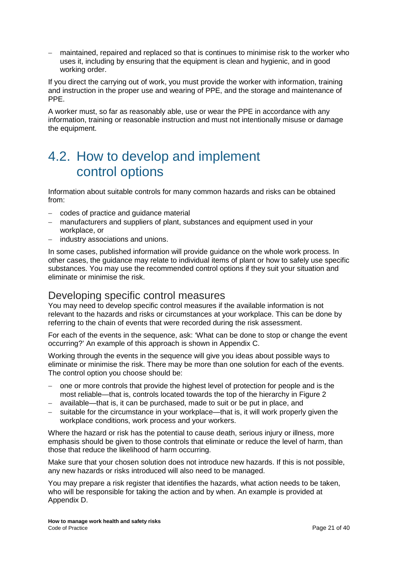− maintained, repaired and replaced so that is continues to minimise risk to the worker who uses it, including by ensuring that the equipment is clean and hygienic, and in good working order.

If you direct the carrying out of work, you must provide the worker with information, training and instruction in the proper use and wearing of PPE, and the storage and maintenance of PPE.

A worker must, so far as reasonably able, use or wear the PPE in accordance with any information, training or reasonable instruction and must not intentionally misuse or damage the equipment.

## <span id="page-20-0"></span>4.2. How to develop and implement control options

Information about suitable controls for many common hazards and risks can be obtained from:

- − codes of practice and guidance material
- − manufacturers and suppliers of plant, substances and equipment used in your workplace, or
- industry associations and unions.

In some cases, published information will provide guidance on the whole work process. In other cases, the guidance may relate to individual items of plant or how to safely use specific substances. You may use the recommended control options if they suit your situation and eliminate or minimise the risk.

## Developing specific control measures

You may need to develop specific control measures if the available information is not relevant to the hazards and risks or circumstances at your workplace. This can be done by referring to the chain of events that were recorded during the risk assessment.

For each of the events in the sequence, ask: 'What can be done to stop or change the event occurring?' An example of this approach is shown in Appendix C.

Working through the events in the sequence will give you ideas about possible ways to eliminate or minimise the risk. There may be more than one solution for each of the events. The control option you choose should be:

- − one or more controls that provide the highest level of protection for people and is the most reliable—that is, controls located towards the top of the hierarchy in Figure 2
- − available—that is, it can be purchased, made to suit or be put in place, and
- suitable for the circumstance in your workplace—that is, it will work properly given the workplace conditions, work process and your workers.

Where the hazard or risk has the potential to cause death, serious injury or illness, more emphasis should be given to those controls that eliminate or reduce the level of harm, than those that reduce the likelihood of harm occurring.

Make sure that your chosen solution does not introduce new hazards. If this is not possible, any new hazards or risks introduced will also need to be managed.

You may prepare a risk register that identifies the hazards, what action needs to be taken, who will be responsible for taking the action and by when. An example is provided at Appendix D.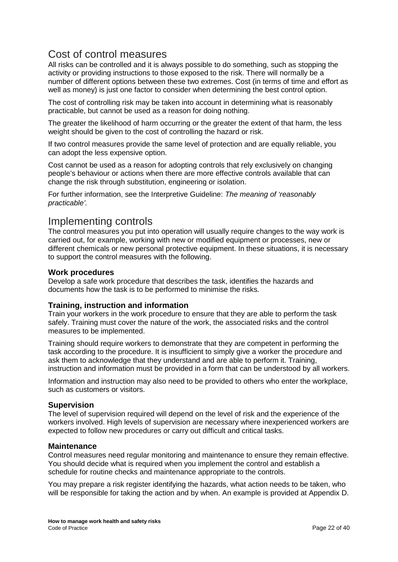## Cost of control measures

All risks can be controlled and it is always possible to do something, such as stopping the activity or providing instructions to those exposed to the risk. There will normally be a number of different options between these two extremes. Cost (in terms of time and effort as well as money) is just one factor to consider when determining the best control option.

The cost of controlling risk may be taken into account in determining what is reasonably practicable, but cannot be used as a reason for doing nothing.

The greater the likelihood of harm occurring or the greater the extent of that harm, the less weight should be given to the cost of controlling the hazard or risk.

If two control measures provide the same level of protection and are equally reliable, you can adopt the less expensive option.

Cost cannot be used as a reason for adopting controls that rely exclusively on changing people's behaviour or actions when there are more effective controls available that can change the risk through substitution, engineering or isolation.

For further information, see the Interpretive Guideline: *The meaning of 'reasonably practicable'.*

#### Implementing controls

The control measures you put into operation will usually require changes to the way work is carried out, for example, working with new or modified equipment or processes, new or different chemicals or new personal protective equipment. In these situations, it is necessary to support the control measures with the following.

#### **Work procedures**

Develop a safe work procedure that describes the task, identifies the hazards and documents how the task is to be performed to minimise the risks.

#### **Training, instruction and information**

Train your workers in the work procedure to ensure that they are able to perform the task safely. Training must cover the nature of the work, the associated risks and the control measures to be implemented.

Training should require workers to demonstrate that they are competent in performing the task according to the procedure. It is insufficient to simply give a worker the procedure and ask them to acknowledge that they understand and are able to perform it. Training, instruction and information must be provided in a form that can be understood by all workers.

Information and instruction may also need to be provided to others who enter the workplace, such as customers or visitors.

#### **Supervision**

The level of supervision required will depend on the level of risk and the experience of the workers involved. High levels of supervision are necessary where inexperienced workers are expected to follow new procedures or carry out difficult and critical tasks.

#### **Maintenance**

Control measures need regular monitoring and maintenance to ensure they remain effective. You should decide what is required when you implement the control and establish a schedule for routine checks and maintenance appropriate to the controls.

You may prepare a risk register identifying the hazards, what action needs to be taken, who will be responsible for taking the action and by when. An example is provided at Appendix D.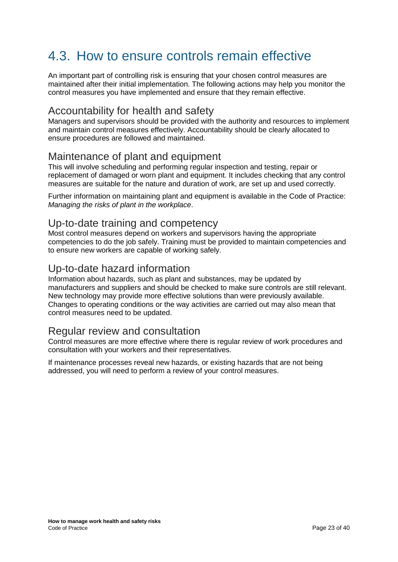# <span id="page-22-0"></span>4.3. How to ensure controls remain effective

An important part of controlling risk is ensuring that your chosen control measures are maintained after their initial implementation. The following actions may help you monitor the control measures you have implemented and ensure that they remain effective.

## Accountability for health and safety

Managers and supervisors should be provided with the authority and resources to implement and maintain control measures effectively. Accountability should be clearly allocated to ensure procedures are followed and maintained.

### Maintenance of plant and equipment

This will involve scheduling and performing regular inspection and testing, repair or replacement of damaged or worn plant and equipment. It includes checking that any control measures are suitable for the nature and duration of work, are set up and used correctly.

Further information on maintaining plant and equipment is available in the Code of Practice: *Managing the risks of plant in the workplace*.

### Up-to-date training and competency

Most control measures depend on workers and supervisors having the appropriate competencies to do the job safely. Training must be provided to maintain competencies and to ensure new workers are capable of working safely.

### Up-to-date hazard information

Information about hazards, such as plant and substances, may be updated by manufacturers and suppliers and should be checked to make sure controls are still relevant. New technology may provide more effective solutions than were previously available. Changes to operating conditions or the way activities are carried out may also mean that control measures need to be updated.

## Regular review and consultation

Control measures are more effective where there is regular review of work procedures and consultation with your workers and their representatives.

If maintenance processes reveal new hazards, or existing hazards that are not being addressed, you will need to perform a review of your control measures.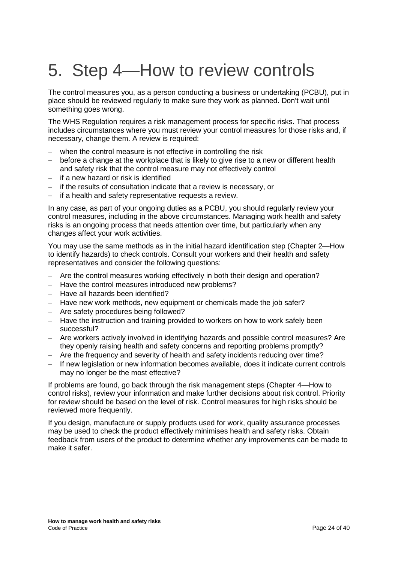# <span id="page-23-0"></span>5. Step 4—How to review controls

The control measures you, as a person conducting a business or undertaking (PCBU), put in place should be reviewed regularly to make sure they work as planned. Don't wait until something goes wrong.

The WHS Regulation requires a risk management process for specific risks. That process includes circumstances where you must review your control measures for those risks and, if necessary, change them. A review is required:

- − when the control measure is not effective in controlling the risk
- − before a change at the workplace that is likely to give rise to a new or different health and safety risk that the control measure may not effectively control
- − if a new hazard or risk is identified
- − if the results of consultation indicate that a review is necessary, or
- if a health and safety representative requests a review.

In any case, as part of your ongoing duties as a PCBU, you should regularly review your control measures, including in the above circumstances. Managing work health and safety risks is an ongoing process that needs attention over time, but particularly when any changes affect your work activities.

You may use the same methods as in the initial hazard identification step (Chapter 2—How to identify hazards) to check controls. Consult your workers and their health and safety representatives and consider the following questions:

- − Are the control measures working effectively in both their design and operation?
- − Have the control measures introduced new problems?
- − Have all hazards been identified?
- − Have new work methods, new equipment or chemicals made the job safer?
- − Are safety procedures being followed?
- − Have the instruction and training provided to workers on how to work safely been successful?
- − Are workers actively involved in identifying hazards and possible control measures? Are they openly raising health and safety concerns and reporting problems promptly?
- − Are the frequency and severity of health and safety incidents reducing over time?
- − If new legislation or new information becomes available, does it indicate current controls may no longer be the most effective?

If problems are found, go back through the risk management steps (Chapter 4—How to control risks), review your information and make further decisions about risk control. Priority for review should be based on the level of risk. Control measures for high risks should be reviewed more frequently.

If you design, manufacture or supply products used for work, quality assurance processes may be used to check the product effectively minimises health and safety risks. Obtain feedback from users of the product to determine whether any improvements can be made to make it safer.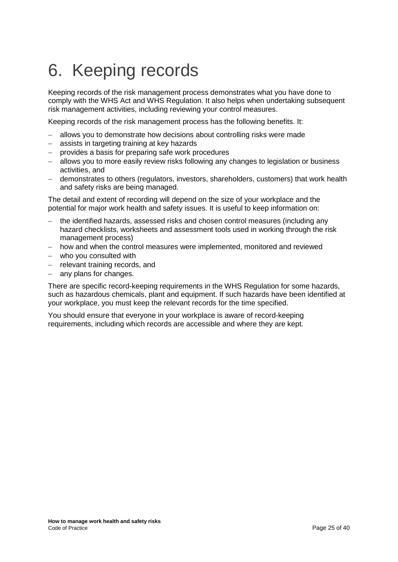# <span id="page-24-0"></span>6. Keeping records

Keeping records of the risk management process demonstrates what you have done to comply with the WHS Act and WHS Regulation. It also helps when undertaking subsequent risk management activities, including reviewing your control measures.

Keeping records of the risk management process has the following benefits. It:

- allows you to demonstrate how decisions about controlling risks were made
- − assists in targeting training at key hazards
- − provides a basis for preparing safe work procedures
- − allows you to more easily review risks following any changes to legislation or business activities, and
- − demonstrates to others (regulators, investors, shareholders, customers) that work health and safety risks are being managed.

The detail and extent of recording will depend on the size of your workplace and the potential for major work health and safety issues. It is useful to keep information on:

- − the identified hazards, assessed risks and chosen control measures (including any hazard checklists, worksheets and assessment tools used in working through the risk management process)
- − how and when the control measures were implemented, monitored and reviewed
- − who you consulted with
- − relevant training records, and
- any plans for changes.

There are specific record-keeping requirements in the WHS Regulation for some hazards, such as hazardous chemicals, plant and equipment. If such hazards have been identified at your workplace, you must keep the relevant records for the time specified.

You should ensure that everyone in your workplace is aware of record-keeping requirements, including which records are accessible and where they are kept.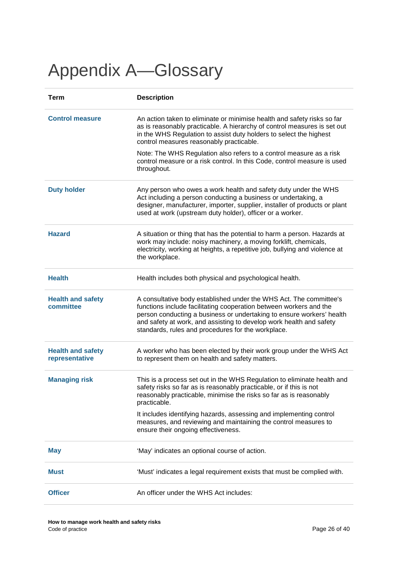# <span id="page-25-0"></span>Appendix A—Glossary

| <b>Term</b>                                | <b>Description</b>                                                                                                                                                                                                                                                                                                                             |
|--------------------------------------------|------------------------------------------------------------------------------------------------------------------------------------------------------------------------------------------------------------------------------------------------------------------------------------------------------------------------------------------------|
| <b>Control measure</b>                     | An action taken to eliminate or minimise health and safety risks so far<br>as is reasonably practicable. A hierarchy of control measures is set out<br>in the WHS Regulation to assist duty holders to select the highest<br>control measures reasonably practicable.                                                                          |
|                                            | Note: The WHS Regulation also refers to a control measure as a risk<br>control measure or a risk control. In this Code, control measure is used<br>throughout.                                                                                                                                                                                 |
| <b>Duty holder</b>                         | Any person who owes a work health and safety duty under the WHS<br>Act including a person conducting a business or undertaking, a<br>designer, manufacturer, importer, supplier, installer of products or plant<br>used at work (upstream duty holder), officer or a worker.                                                                   |
| <b>Hazard</b>                              | A situation or thing that has the potential to harm a person. Hazards at<br>work may include: noisy machinery, a moving forklift, chemicals,<br>electricity, working at heights, a repetitive job, bullying and violence at<br>the workplace.                                                                                                  |
| <b>Health</b>                              | Health includes both physical and psychological health.                                                                                                                                                                                                                                                                                        |
| <b>Health and safety</b><br>committee      | A consultative body established under the WHS Act. The committee's<br>functions include facilitating cooperation between workers and the<br>person conducting a business or undertaking to ensure workers' health<br>and safety at work, and assisting to develop work health and safety<br>standards, rules and procedures for the workplace. |
| <b>Health and safety</b><br>representative | A worker who has been elected by their work group under the WHS Act<br>to represent them on health and safety matters.                                                                                                                                                                                                                         |
| <b>Managing risk</b>                       | This is a process set out in the WHS Regulation to eliminate health and<br>safety risks so far as is reasonably practicable, or if this is not<br>reasonably practicable, minimise the risks so far as is reasonably<br>practicable.                                                                                                           |
|                                            | It includes identifying hazards, assessing and implementing control<br>measures, and reviewing and maintaining the control measures to<br>ensure their ongoing effectiveness.                                                                                                                                                                  |
| <b>May</b>                                 | 'May' indicates an optional course of action.                                                                                                                                                                                                                                                                                                  |
| <b>Must</b>                                | 'Must' indicates a legal requirement exists that must be complied with.                                                                                                                                                                                                                                                                        |
| <b>Officer</b>                             | An officer under the WHS Act includes:                                                                                                                                                                                                                                                                                                         |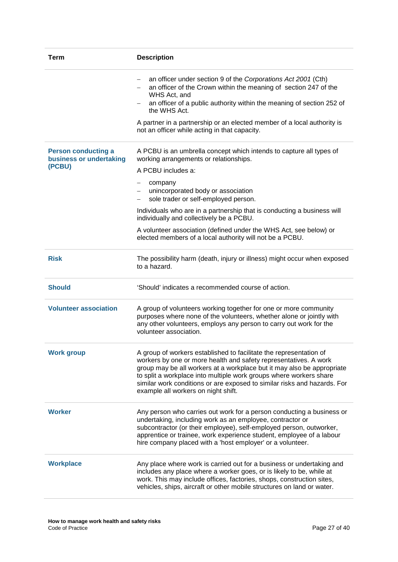| <b>Term</b>                                                     | <b>Description</b>                                                                                                                                                                                                                                                                                                                                                                                        |
|-----------------------------------------------------------------|-----------------------------------------------------------------------------------------------------------------------------------------------------------------------------------------------------------------------------------------------------------------------------------------------------------------------------------------------------------------------------------------------------------|
|                                                                 | an officer under section 9 of the Corporations Act 2001 (Cth)<br>an officer of the Crown within the meaning of section 247 of the<br>WHS Act, and<br>an officer of a public authority within the meaning of section 252 of<br>$\qquad \qquad -$<br>the WHS Act.                                                                                                                                           |
|                                                                 | A partner in a partnership or an elected member of a local authority is<br>not an officer while acting in that capacity.                                                                                                                                                                                                                                                                                  |
| <b>Person conducting a</b><br>business or undertaking<br>(PCBU) | A PCBU is an umbrella concept which intends to capture all types of<br>working arrangements or relationships.<br>A PCBU includes a:                                                                                                                                                                                                                                                                       |
|                                                                 | company<br>unincorporated body or association<br>sole trader or self-employed person.                                                                                                                                                                                                                                                                                                                     |
|                                                                 | Individuals who are in a partnership that is conducting a business will<br>individually and collectively be a PCBU.                                                                                                                                                                                                                                                                                       |
|                                                                 | A volunteer association (defined under the WHS Act, see below) or<br>elected members of a local authority will not be a PCBU.                                                                                                                                                                                                                                                                             |
| <b>Risk</b>                                                     | The possibility harm (death, injury or illness) might occur when exposed<br>to a hazard.                                                                                                                                                                                                                                                                                                                  |
| <b>Should</b>                                                   | 'Should' indicates a recommended course of action.                                                                                                                                                                                                                                                                                                                                                        |
| <b>Volunteer association</b>                                    | A group of volunteers working together for one or more community<br>purposes where none of the volunteers, whether alone or jointly with<br>any other volunteers, employs any person to carry out work for the<br>volunteer association.                                                                                                                                                                  |
| <b>Work group</b>                                               | A group of workers established to facilitate the representation of<br>workers by one or more health and safety representatives. A work<br>group may be all workers at a workplace but it may also be appropriate<br>to split a workplace into multiple work groups where workers share<br>similar work conditions or are exposed to similar risks and hazards. For<br>example all workers on night shift. |
| <b>Worker</b>                                                   | Any person who carries out work for a person conducting a business or<br>undertaking, including work as an employee, contractor or<br>subcontractor (or their employee), self-employed person, outworker,<br>apprentice or trainee, work experience student, employee of a labour<br>hire company placed with a 'host employer' or a volunteer.                                                           |
| <b>Workplace</b>                                                | Any place where work is carried out for a business or undertaking and<br>includes any place where a worker goes, or is likely to be, while at<br>work. This may include offices, factories, shops, construction sites,<br>vehicles, ships, aircraft or other mobile structures on land or water.                                                                                                          |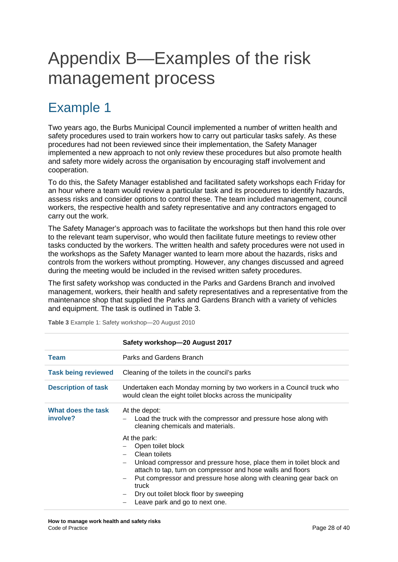# <span id="page-27-0"></span>Appendix B—Examples of the risk management process

# <span id="page-27-1"></span>Example 1

Two years ago, the Burbs Municipal Council implemented a number of written health and safety procedures used to train workers how to carry out particular tasks safely. As these procedures had not been reviewed since their implementation, the Safety Manager implemented a new approach to not only review these procedures but also promote health and safety more widely across the organisation by encouraging staff involvement and cooperation.

To do this, the Safety Manager established and facilitated safety workshops each Friday for an hour where a team would review a particular task and its procedures to identify hazards, assess risks and consider options to control these. The team included management, council workers, the respective health and safety representative and any contractors engaged to carry out the work.

The Safety Manager's approach was to facilitate the workshops but then hand this role over to the relevant team supervisor, who would then facilitate future meetings to review other tasks conducted by the workers. The written health and safety procedures were not used in the workshops as the Safety Manager wanted to learn more about the hazards, risks and controls from the workers without prompting. However, any changes discussed and agreed during the meeting would be included in the revised written safety procedures.

The first safety workshop was conducted in the Parks and Gardens Branch and involved management, workers, their health and safety representatives and a representative from the maintenance shop that supplied the Parks and Gardens Branch with a variety of vehicles and equipment. The task is outlined in Table 3.

|                                | Safety workshop-20 August 2017                                                                                                                                                                                                                                                                                                                                                                                       |
|--------------------------------|----------------------------------------------------------------------------------------------------------------------------------------------------------------------------------------------------------------------------------------------------------------------------------------------------------------------------------------------------------------------------------------------------------------------|
| <b>Team</b>                    | Parks and Gardens Branch                                                                                                                                                                                                                                                                                                                                                                                             |
| <b>Task being reviewed</b>     | Cleaning of the toilets in the council's parks                                                                                                                                                                                                                                                                                                                                                                       |
| <b>Description of task</b>     | Undertaken each Monday morning by two workers in a Council truck who<br>would clean the eight toilet blocks across the municipality                                                                                                                                                                                                                                                                                  |
| What does the task<br>involve? | At the depot:<br>Load the truck with the compressor and pressure hose along with<br>cleaning chemicals and materials.<br>At the park:<br>Open toilet block<br>Clean toilets<br>Unload compressor and pressure hose, place them in toilet block and<br>attach to tap, turn on compressor and hose walls and floors<br>Put compressor and pressure hose along with cleaning gear back on<br>$\qquad \qquad -$<br>truck |
|                                | Dry out toilet block floor by sweeping<br>Leave park and go to next one.                                                                                                                                                                                                                                                                                                                                             |

**Table 3** Example 1: Safety workshop—20 August 2010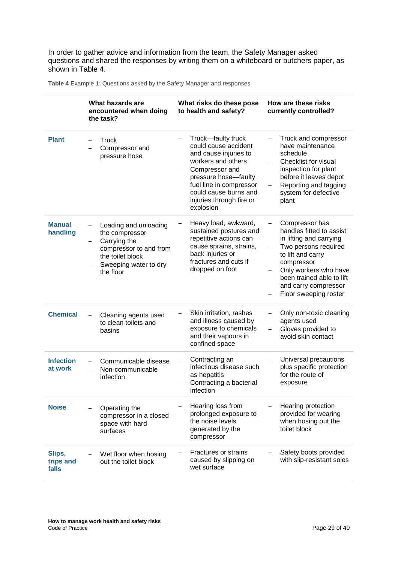In order to gather advice and information from the team, the Safety Manager asked questions and shared the responses by writing them on a whiteboard or butchers paper, as shown in Table 4.

|                              | What hazards are<br>encountered when doing<br>the task?                                                                                     | What risks do these pose<br>to health and safety?                                                                                                                                                                                | How are these risks<br>currently controlled?                                                                                                                                                                                                                                             |
|------------------------------|---------------------------------------------------------------------------------------------------------------------------------------------|----------------------------------------------------------------------------------------------------------------------------------------------------------------------------------------------------------------------------------|------------------------------------------------------------------------------------------------------------------------------------------------------------------------------------------------------------------------------------------------------------------------------------------|
| <b>Plant</b>                 | Truck<br>Compressor and<br>pressure hose                                                                                                    | Truck-faulty truck<br>could cause accident<br>and cause injuries to<br>workers and others<br>Compressor and<br>pressure hose-faulty<br>fuel line in compressor<br>could cause burns and<br>injuries through fire or<br>explosion | Truck and compressor<br>have maintenance<br>schedule<br>Checklist for visual<br>inspection for plant<br>before it leaves depot<br>Reporting and tagging<br>system for defective<br>plant                                                                                                 |
| <b>Manual</b><br>handling    | Loading and unloading<br>the compressor<br>Carrying the<br>compressor to and from<br>the toilet block<br>Sweeping water to dry<br>the floor | Heavy load, awkward,<br>sustained postures and<br>repetitive actions can<br>cause sprains, strains,<br>back injuries or<br>fractures and cuts if<br>dropped on foot                                                              | Compressor has<br>handles fitted to assist<br>in lifting and carrying<br>Two persons required<br>$\qquad \qquad -$<br>to lift and carry<br>compressor<br>Only workers who have<br>$\overline{\phantom{0}}$<br>been trained able to lift<br>and carry compressor<br>Floor sweeping roster |
| <b>Chemical</b>              | Cleaning agents used<br>to clean toilets and<br>basins                                                                                      | Skin irritation, rashes<br>and illness caused by<br>exposure to chemicals<br>and their vapours in<br>confined space                                                                                                              | Only non-toxic cleaning<br>agents used<br>Gloves provided to<br>$\overline{\phantom{0}}$<br>avoid skin contact                                                                                                                                                                           |
| <b>Infection</b><br>at work  | Communicable disease<br>Non-communicable<br>infection                                                                                       | Contracting an<br>$\overline{\phantom{0}}$<br>infectious disease such<br>as hepatitis<br>Contracting a bacterial<br>infection                                                                                                    | Universal precautions<br>plus specific protection<br>for the route of<br>exposure                                                                                                                                                                                                        |
| <b>Noise</b>                 | Operating the<br>compressor in a closed<br>space with hard<br>surfaces                                                                      | Hearing loss from<br>prolonged exposure to<br>the noise levels<br>generated by the<br>compressor                                                                                                                                 | Hearing protection<br>provided for wearing<br>when hosing out the<br>toilet block                                                                                                                                                                                                        |
| Slips,<br>trips and<br>falls | Wet floor when hosing<br>out the toilet block                                                                                               | Fractures or strains<br>caused by slipping on<br>wet surface                                                                                                                                                                     | Safety boots provided<br>with slip-resistant soles                                                                                                                                                                                                                                       |

**Table 4** Example 1: Questions asked by the Safety Manager and responses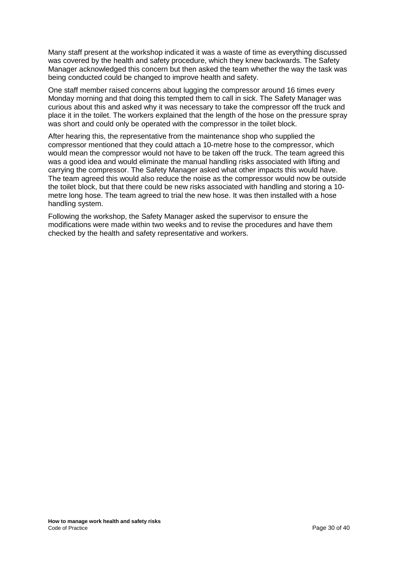Many staff present at the workshop indicated it was a waste of time as everything discussed was covered by the health and safety procedure, which they knew backwards. The Safety Manager acknowledged this concern but then asked the team whether the way the task was being conducted could be changed to improve health and safety.

One staff member raised concerns about lugging the compressor around 16 times every Monday morning and that doing this tempted them to call in sick. The Safety Manager was curious about this and asked why it was necessary to take the compressor off the truck and place it in the toilet. The workers explained that the length of the hose on the pressure spray was short and could only be operated with the compressor in the toilet block.

After hearing this, the representative from the maintenance shop who supplied the compressor mentioned that they could attach a 10-metre hose to the compressor, which would mean the compressor would not have to be taken off the truck. The team agreed this was a good idea and would eliminate the manual handling risks associated with lifting and carrying the compressor. The Safety Manager asked what other impacts this would have. The team agreed this would also reduce the noise as the compressor would now be outside the toilet block, but that there could be new risks associated with handling and storing a 10 metre long hose. The team agreed to trial the new hose. It was then installed with a hose handling system.

Following the workshop, the Safety Manager asked the supervisor to ensure the modifications were made within two weeks and to revise the procedures and have them checked by the health and safety representative and workers.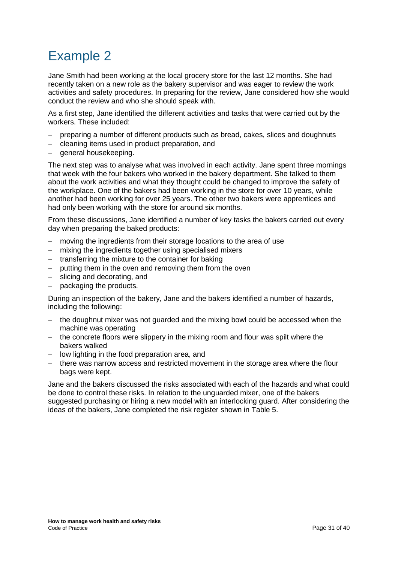# <span id="page-30-0"></span>Example 2

Jane Smith had been working at the local grocery store for the last 12 months. She had recently taken on a new role as the bakery supervisor and was eager to review the work activities and safety procedures. In preparing for the review, Jane considered how she would conduct the review and who she should speak with.

As a first step, Jane identified the different activities and tasks that were carried out by the workers. These included:

- preparing a number of different products such as bread, cakes, slices and doughnuts
- − cleaning items used in product preparation, and
- − general housekeeping.

The next step was to analyse what was involved in each activity. Jane spent three mornings that week with the four bakers who worked in the bakery department. She talked to them about the work activities and what they thought could be changed to improve the safety of the workplace. One of the bakers had been working in the store for over 10 years, while another had been working for over 25 years. The other two bakers were apprentices and had only been working with the store for around six months.

From these discussions, Jane identified a number of key tasks the bakers carried out every day when preparing the baked products:

- moving the ingredients from their storage locations to the area of use
- − mixing the ingredients together using specialised mixers
- − transferring the mixture to the container for baking
- − putting them in the oven and removing them from the oven
- − slicing and decorating, and
- − packaging the products.

During an inspection of the bakery, Jane and the bakers identified a number of hazards, including the following:

- − the doughnut mixer was not guarded and the mixing bowl could be accessed when the machine was operating
- − the concrete floors were slippery in the mixing room and flour was spilt where the bakers walked
- − low lighting in the food preparation area, and
- − there was narrow access and restricted movement in the storage area where the flour bags were kept.

Jane and the bakers discussed the risks associated with each of the hazards and what could be done to control these risks. In relation to the unguarded mixer, one of the bakers suggested purchasing or hiring a new model with an interlocking guard. After considering the ideas of the bakers, Jane completed the risk register shown in Table 5.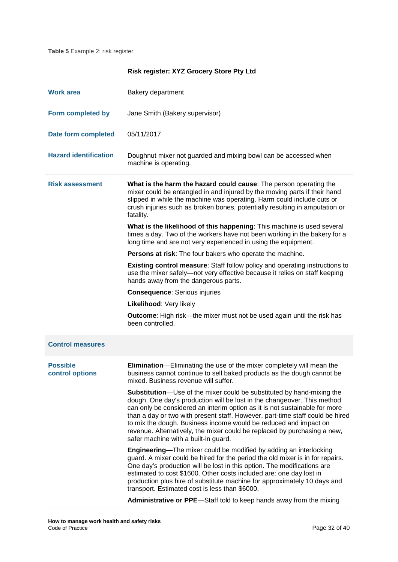**Table 5** Example 2: risk register

|                                    | Risk register: XYZ Grocery Store Pty Ltd                                                                                                                                                                                                                                                                                                                                                                                                                                                                        |
|------------------------------------|-----------------------------------------------------------------------------------------------------------------------------------------------------------------------------------------------------------------------------------------------------------------------------------------------------------------------------------------------------------------------------------------------------------------------------------------------------------------------------------------------------------------|
| <b>Work area</b>                   | <b>Bakery department</b>                                                                                                                                                                                                                                                                                                                                                                                                                                                                                        |
| Form completed by                  | Jane Smith (Bakery supervisor)                                                                                                                                                                                                                                                                                                                                                                                                                                                                                  |
| Date form completed                | 05/11/2017                                                                                                                                                                                                                                                                                                                                                                                                                                                                                                      |
| <b>Hazard identification</b>       | Doughnut mixer not guarded and mixing bowl can be accessed when<br>machine is operating.                                                                                                                                                                                                                                                                                                                                                                                                                        |
| <b>Risk assessment</b>             | What is the harm the hazard could cause: The person operating the<br>mixer could be entangled in and injured by the moving parts if their hand<br>slipped in while the machine was operating. Harm could include cuts or<br>crush injuries such as broken bones, potentially resulting in amputation or<br>fatality.                                                                                                                                                                                            |
|                                    | What is the likelihood of this happening: This machine is used several<br>times a day. Two of the workers have not been working in the bakery for a<br>long time and are not very experienced in using the equipment.                                                                                                                                                                                                                                                                                           |
|                                    | Persons at risk: The four bakers who operate the machine.                                                                                                                                                                                                                                                                                                                                                                                                                                                       |
|                                    | <b>Existing control measure:</b> Staff follow policy and operating instructions to<br>use the mixer safely-not very effective because it relies on staff keeping<br>hands away from the dangerous parts.                                                                                                                                                                                                                                                                                                        |
|                                    | <b>Consequence: Serious injuries</b>                                                                                                                                                                                                                                                                                                                                                                                                                                                                            |
|                                    | Likelihood: Very likely                                                                                                                                                                                                                                                                                                                                                                                                                                                                                         |
|                                    | <b>Outcome:</b> High risk—the mixer must not be used again until the risk has<br>been controlled.                                                                                                                                                                                                                                                                                                                                                                                                               |
| <b>Control measures</b>            |                                                                                                                                                                                                                                                                                                                                                                                                                                                                                                                 |
| <b>Possible</b><br>control options | Elimination-Eliminating the use of the mixer completely will mean the<br>business cannot continue to sell baked products as the dough cannot be<br>mixed. Business revenue will suffer.                                                                                                                                                                                                                                                                                                                         |
|                                    | <b>Substitution</b> —Use of the mixer could be substituted by hand-mixing the<br>dough. One day's production will be lost in the changeover. This method<br>can only be considered an interim option as it is not sustainable for more<br>than a day or two with present staff. However, part-time staff could be hired<br>to mix the dough. Business income would be reduced and impact on<br>revenue. Alternatively, the mixer could be replaced by purchasing a new,<br>safer machine with a built-in guard. |
|                                    | <b>Engineering—The mixer could be modified by adding an interlocking</b><br>guard. A mixer could be hired for the period the old mixer is in for repairs.<br>One day's production will be lost in this option. The modifications are<br>estimated to cost \$1600. Other costs included are: one day lost in<br>production plus hire of substitute machine for approximately 10 days and<br>transport. Estimated cost is less than \$6000.                                                                       |
|                                    | Administrative or PPE-Staff told to keep hands away from the mixing                                                                                                                                                                                                                                                                                                                                                                                                                                             |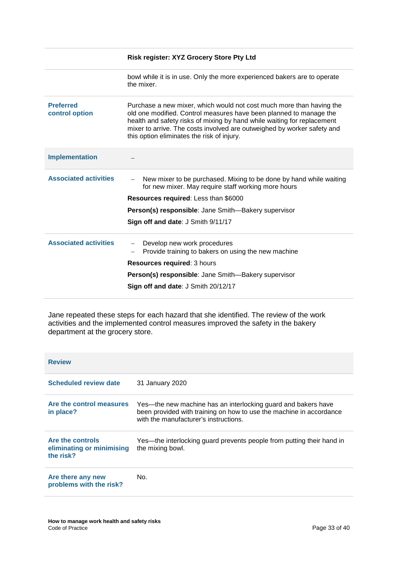|                                    | Risk register: XYZ Grocery Store Pty Ltd                                                                                                                                                                                                                                                                                                       |
|------------------------------------|------------------------------------------------------------------------------------------------------------------------------------------------------------------------------------------------------------------------------------------------------------------------------------------------------------------------------------------------|
|                                    | bowl while it is in use. Only the more experienced bakers are to operate<br>the mixer.                                                                                                                                                                                                                                                         |
| <b>Preferred</b><br>control option | Purchase a new mixer, which would not cost much more than having the<br>old one modified. Control measures have been planned to manage the<br>health and safety risks of mixing by hand while waiting for replacement<br>mixer to arrive. The costs involved are outweighed by worker safety and<br>this option eliminates the risk of injury. |
| <b>Implementation</b>              |                                                                                                                                                                                                                                                                                                                                                |
| <b>Associated activities</b>       | New mixer to be purchased. Mixing to be done by hand while waiting<br>for new mixer. May require staff working more hours                                                                                                                                                                                                                      |
|                                    | Resources required: Less than \$6000                                                                                                                                                                                                                                                                                                           |
|                                    | Person(s) responsible: Jane Smith-Bakery supervisor                                                                                                                                                                                                                                                                                            |
|                                    | Sign off and date: J Smith 9/11/17                                                                                                                                                                                                                                                                                                             |
| <b>Associated activities</b>       | Develop new work procedures<br>Provide training to bakers on using the new machine                                                                                                                                                                                                                                                             |
|                                    | Resources required: 3 hours                                                                                                                                                                                                                                                                                                                    |
|                                    | Person(s) responsible: Jane Smith-Bakery supervisor                                                                                                                                                                                                                                                                                            |
|                                    | Sign off and date: J Smith 20/12/17                                                                                                                                                                                                                                                                                                            |

Jane repeated these steps for each hazard that she identified. The review of the work activities and the implemented control measures improved the safety in the bakery department at the grocery store.

| <b>Review</b>                                              |                                                                                                                                                                               |
|------------------------------------------------------------|-------------------------------------------------------------------------------------------------------------------------------------------------------------------------------|
| <b>Scheduled review date</b>                               | 31 January 2020                                                                                                                                                               |
| Are the control measures<br>in place?                      | Yes—the new machine has an interlocking guard and bakers have<br>been provided with training on how to use the machine in accordance<br>with the manufacturer's instructions. |
| Are the controls<br>eliminating or minimising<br>the risk? | Yes—the interlocking guard prevents people from putting their hand in<br>the mixing bowl.                                                                                     |
| Are there any new<br>problems with the risk?               | No.                                                                                                                                                                           |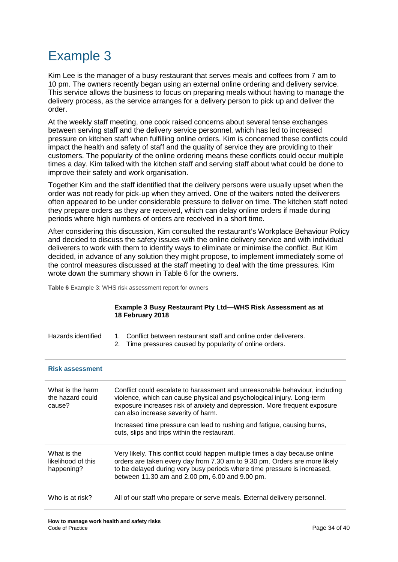# <span id="page-33-0"></span>Example 3

Kim Lee is the manager of a busy restaurant that serves meals and coffees from 7 am to 10 pm. The owners recently began using an external online ordering and delivery service. This service allows the business to focus on preparing meals without having to manage the delivery process, as the service arranges for a delivery person to pick up and deliver the order.

At the weekly staff meeting, one cook raised concerns about several tense exchanges between serving staff and the delivery service personnel, which has led to increased pressure on kitchen staff when fulfilling online orders. Kim is concerned these conflicts could impact the health and safety of staff and the quality of service they are providing to their customers. The popularity of the online ordering means these conflicts could occur multiple times a day. Kim talked with the kitchen staff and serving staff about what could be done to improve their safety and work organisation.

Together Kim and the staff identified that the delivery persons were usually upset when the order was not ready for pick-up when they arrived. One of the waiters noted the deliverers often appeared to be under considerable pressure to deliver on time. The kitchen staff noted they prepare orders as they are received, which can delay online orders if made during periods where high numbers of orders are received in a short time.

After considering this discussion, Kim consulted the restaurant's Workplace Behaviour Policy and decided to discuss the safety issues with the online delivery service and with individual deliverers to work with them to identify ways to eliminate or minimise the conflict. But Kim decided, in advance of any solution they might propose, to implement immediately some of the control measures discussed at the staff meeting to deal with the time pressures. Kim wrote down the summary shown in Table 6 for the owners.

**Table 6** Example 3: WHS risk assessment report for owners

|                                                 | Example 3 Busy Restaurant Pty Ltd-WHS Risk Assessment as at<br>18 February 2018                                                                                                                                                                                                          |  |  |  |  |  |  |
|-------------------------------------------------|------------------------------------------------------------------------------------------------------------------------------------------------------------------------------------------------------------------------------------------------------------------------------------------|--|--|--|--|--|--|
| Hazards identified                              | Conflict between restaurant staff and online order deliverers.<br>1.<br>Time pressures caused by popularity of online orders.<br>2.                                                                                                                                                      |  |  |  |  |  |  |
| <b>Risk assessment</b>                          |                                                                                                                                                                                                                                                                                          |  |  |  |  |  |  |
| What is the harm<br>the hazard could<br>cause?  | Conflict could escalate to harassment and unreasonable behaviour, including<br>violence, which can cause physical and psychological injury. Long-term<br>exposure increases risk of anxiety and depression. More frequent exposure<br>can also increase severity of harm.                |  |  |  |  |  |  |
|                                                 | Increased time pressure can lead to rushing and fatigue, causing burns,<br>cuts, slips and trips within the restaurant.                                                                                                                                                                  |  |  |  |  |  |  |
| What is the<br>likelihood of this<br>happening? | Very likely. This conflict could happen multiple times a day because online<br>orders are taken every day from 7.30 am to 9.30 pm. Orders are more likely<br>to be delayed during very busy periods where time pressure is increased,<br>between 11.30 am and 2.00 pm, 6.00 and 9.00 pm. |  |  |  |  |  |  |
| Who is at risk?                                 | All of our staff who prepare or serve meals. External delivery personnel.                                                                                                                                                                                                                |  |  |  |  |  |  |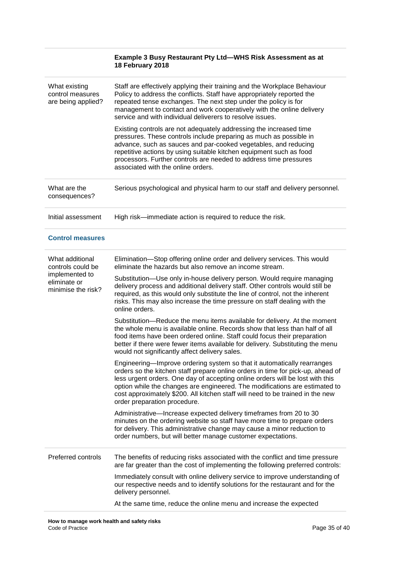|                                                                                              | Example 3 Busy Restaurant Pty Ltd-WHS Risk Assessment as at<br>18 February 2018                                                                                                                                                                                                                                                                                                                                                              |  |  |  |  |  |  |
|----------------------------------------------------------------------------------------------|----------------------------------------------------------------------------------------------------------------------------------------------------------------------------------------------------------------------------------------------------------------------------------------------------------------------------------------------------------------------------------------------------------------------------------------------|--|--|--|--|--|--|
| What existing<br>control measures<br>are being applied?                                      | Staff are effectively applying their training and the Workplace Behaviour<br>Policy to address the conflicts. Staff have appropriately reported the<br>repeated tense exchanges. The next step under the policy is for<br>management to contact and work cooperatively with the online delivery<br>service and with individual deliverers to resolve issues.                                                                                 |  |  |  |  |  |  |
|                                                                                              | Existing controls are not adequately addressing the increased time<br>pressures. These controls include preparing as much as possible in<br>advance, such as sauces and par-cooked vegetables, and reducing<br>repetitive actions by using suitable kitchen equipment such as food<br>processors. Further controls are needed to address time pressures<br>associated with the online orders.                                                |  |  |  |  |  |  |
| What are the<br>consequences?                                                                | Serious psychological and physical harm to our staff and delivery personnel.                                                                                                                                                                                                                                                                                                                                                                 |  |  |  |  |  |  |
| Initial assessment                                                                           | High risk-immediate action is required to reduce the risk.                                                                                                                                                                                                                                                                                                                                                                                   |  |  |  |  |  |  |
| <b>Control measures</b>                                                                      |                                                                                                                                                                                                                                                                                                                                                                                                                                              |  |  |  |  |  |  |
| What additional<br>controls could be<br>implemented to<br>eliminate or<br>minimise the risk? | Elimination-Stop offering online order and delivery services. This would<br>eliminate the hazards but also remove an income stream.                                                                                                                                                                                                                                                                                                          |  |  |  |  |  |  |
|                                                                                              | Substitution—Use only in-house delivery person. Would require managing<br>delivery process and additional delivery staff. Other controls would still be<br>required, as this would only substitute the line of control, not the inherent<br>risks. This may also increase the time pressure on staff dealing with the<br>online orders.                                                                                                      |  |  |  |  |  |  |
|                                                                                              | Substitution-Reduce the menu items available for delivery. At the moment<br>the whole menu is available online. Records show that less than half of all<br>food items have been ordered online. Staff could focus their preparation<br>better if there were fewer items available for delivery. Substituting the menu<br>would not significantly affect delivery sales.                                                                      |  |  |  |  |  |  |
|                                                                                              | Engineering—Improve ordering system so that it automatically rearranges<br>orders so the kitchen staff prepare online orders in time for pick-up, ahead of<br>less urgent orders. One day of accepting online orders will be lost with this<br>option while the changes are engineered. The modifications are estimated to<br>cost approximately \$200. All kitchen staff will need to be trained in the new<br>order preparation procedure. |  |  |  |  |  |  |
|                                                                                              | Administrative-Increase expected delivery timeframes from 20 to 30<br>minutes on the ordering website so staff have more time to prepare orders<br>for delivery. This administrative change may cause a minor reduction to<br>order numbers, but will better manage customer expectations.                                                                                                                                                   |  |  |  |  |  |  |
| Preferred controls                                                                           | The benefits of reducing risks associated with the conflict and time pressure<br>are far greater than the cost of implementing the following preferred controls:                                                                                                                                                                                                                                                                             |  |  |  |  |  |  |
|                                                                                              | Immediately consult with online delivery service to improve understanding of<br>our respective needs and to identify solutions for the restaurant and for the<br>delivery personnel.                                                                                                                                                                                                                                                         |  |  |  |  |  |  |
|                                                                                              | At the same time, reduce the online menu and increase the expected                                                                                                                                                                                                                                                                                                                                                                           |  |  |  |  |  |  |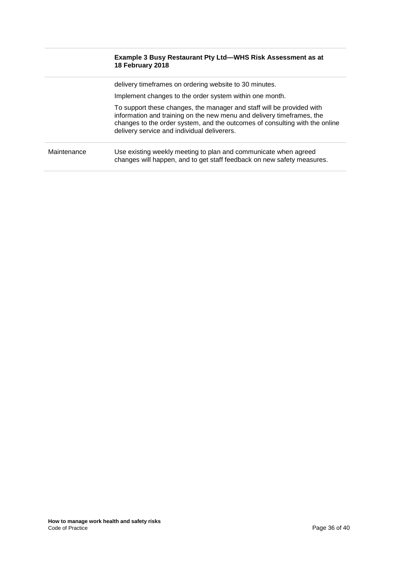|             | <b>Example 3 Busy Restaurant Pty Ltd—WHS Risk Assessment as at</b><br>18 February 2018                                                                                                                                                                                       |
|-------------|------------------------------------------------------------------------------------------------------------------------------------------------------------------------------------------------------------------------------------------------------------------------------|
|             | delivery timeframes on ordering website to 30 minutes.                                                                                                                                                                                                                       |
|             | Implement changes to the order system within one month.                                                                                                                                                                                                                      |
|             | To support these changes, the manager and staff will be provided with<br>information and training on the new menu and delivery timeframes, the<br>changes to the order system, and the outcomes of consulting with the online<br>delivery service and individual deliverers. |
| Maintenance | Use existing weekly meeting to plan and communicate when agreed<br>changes will happen, and to get staff feedback on new safety measures.                                                                                                                                    |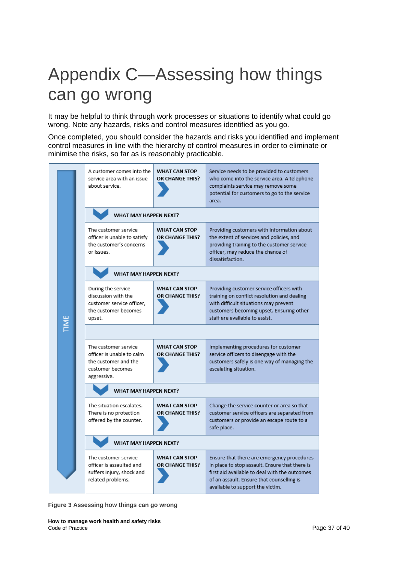# <span id="page-36-0"></span>Appendix C—Assessing how things can go wrong

It may be helpful to think through work processes or situations to identify what could go wrong. Note any hazards, risks and control measures identified as you go.

Once completed, you should consider the hazards and risks you identified and implement control measures in line with the hierarchy of control measures in order to eliminate or minimise the risks, so far as is reasonably practicable.



**Figure 3 Assessing how things can go wrong**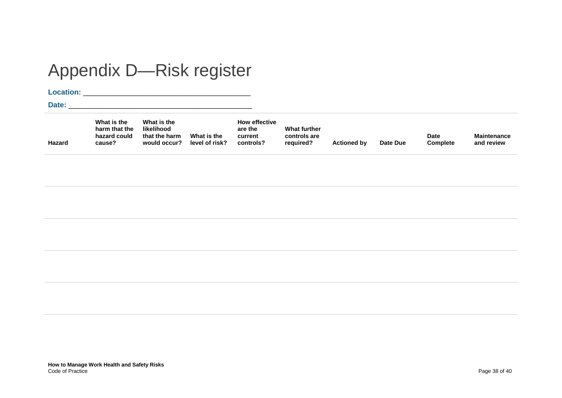# Appendix D—Risk register

**Location:** \_\_\_\_\_\_\_\_\_\_\_\_\_\_\_\_\_\_\_\_\_\_\_\_\_\_\_\_\_\_\_\_\_\_\_\_\_\_\_\_\_

**Date:** \_\_\_\_\_\_\_\_\_\_\_\_\_\_\_\_\_\_\_\_\_\_\_\_\_\_\_\_\_\_\_\_\_\_\_\_\_\_\_\_\_\_\_\_\_

<span id="page-37-0"></span>

| Hazard | What is the<br>harm that the<br>hazard could<br>cause? | What is the<br>likelihood<br>that the harm<br>would occur? | What is the<br>level of risk? | <b>How effective</b><br>are the<br>current<br>controls? | What further<br>controls are<br>reguired? | <b>Actioned by</b> | Date Due | <b>Date</b><br><b>Complete</b> | <b>Maintenance</b><br>and review |
|--------|--------------------------------------------------------|------------------------------------------------------------|-------------------------------|---------------------------------------------------------|-------------------------------------------|--------------------|----------|--------------------------------|----------------------------------|
|--------|--------------------------------------------------------|------------------------------------------------------------|-------------------------------|---------------------------------------------------------|-------------------------------------------|--------------------|----------|--------------------------------|----------------------------------|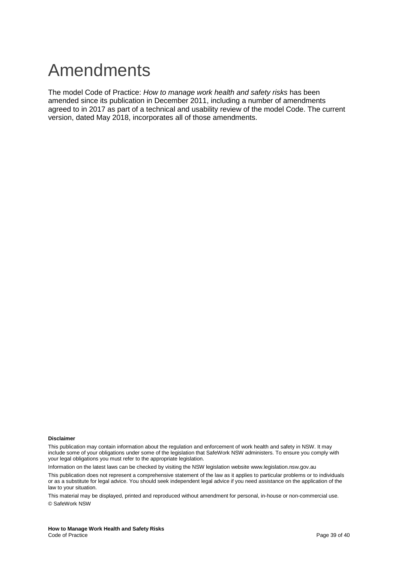# <span id="page-38-0"></span>Amendments

The model Code of Practice: *How to manage work health and safety risks* has been amended since its publication in December 2011, including a number of amendments agreed to in 2017 as part of a technical and usability review of the model Code. The current version, dated May 2018, incorporates all of those amendments.

#### **Disclaimer**

This publication may contain information about the regulation and enforcement of work health and safety in NSW. It may include some of your obligations under some of the legislation that SafeWork NSW administers. To ensure you comply with your legal obligations you must refer to the appropriate legislation.

Information on the latest laws can be checked by visiting the NSW legislation website www.legislation.nsw.gov.au This publication does not represent a comprehensive statement of the law as it applies to particular problems or to individuals or as a substitute for legal advice. You should seek independent legal advice if you need assistance on the application of the law to your situation.

This material may be displayed, printed and reproduced without amendment for personal, in-house or non-commercial use. © SafeWork NSW